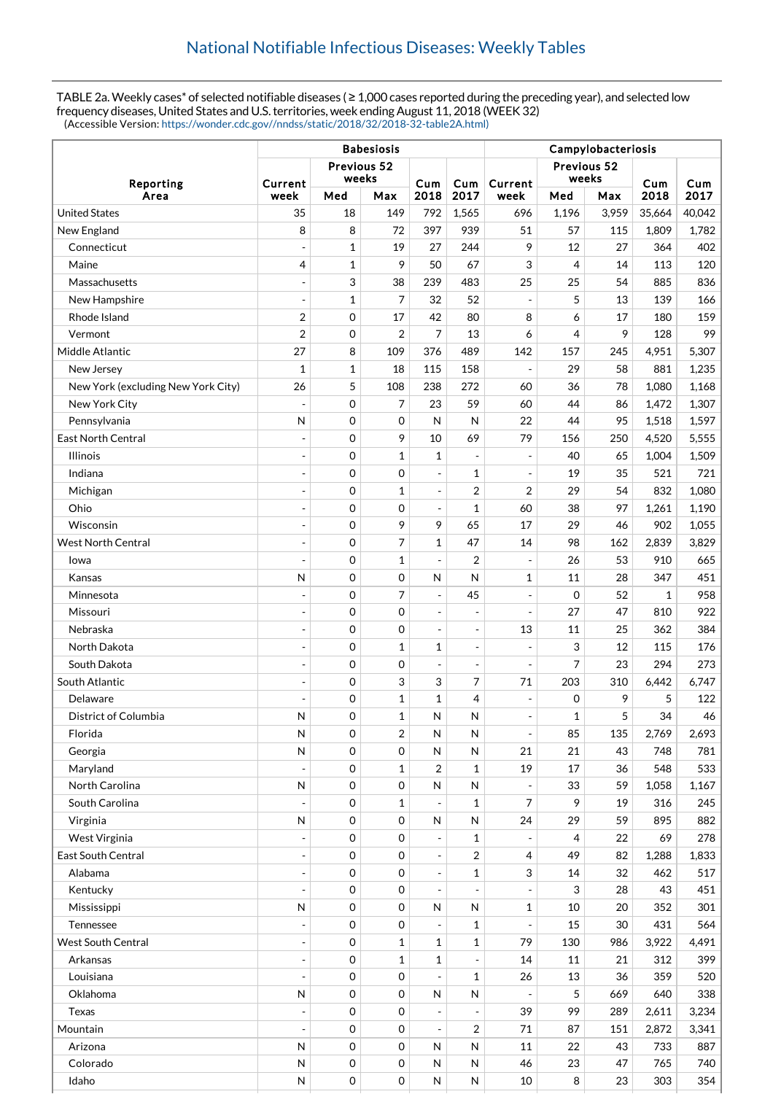TABLE 2a. Weekly cases\* of selected notifiable diseases ( $\geq 1,000$  cases reported during the preceding year), and selected low frequency diseases, United States and U.S. territories, week ending August 11, 2018 (WEEK 32) (Accessible Version: [https://wonder.cdc.gov//nndss/static/2018/32/2018-32-table2A.html\)](https://wonder.cdc.gov//nndss/static/2018/32/2018-32-table2A.html)

|                                    | <b>Babesiosis</b>        |              |                      |                          |                          | Campylobacteriosis |                      |       |             |             |  |
|------------------------------------|--------------------------|--------------|----------------------|--------------------------|--------------------------|--------------------|----------------------|-------|-------------|-------------|--|
| Reporting<br>Area                  |                          |              | Previous 52<br>weeks |                          |                          |                    | Previous 52<br>weeks |       |             |             |  |
|                                    | Current<br>week          | Med          | Max                  | Cum<br>2018              | Cum<br>2017              | Current<br>week    | Med<br>Max           |       | Cum<br>2018 | Cum<br>2017 |  |
| <b>United States</b>               | 35                       | 18           | 149                  | 792                      | 1,565                    | 696                | 1,196                | 3,959 | 35,664      | 40,042      |  |
| New England                        | 8                        | 8            | 72                   | 397                      | 939                      | 51                 | 57                   | 115   | 1,809       | 1,782       |  |
| Connecticut                        | $\overline{a}$           | $\mathbf{1}$ | 19                   | 27                       | 244                      | 9                  | 12                   | 27    | 364         | 402         |  |
| Maine                              | 4                        | $\mathbf{1}$ | 9                    | 50                       | 67                       | 3                  | 4                    | 14    | 113         | 120         |  |
| Massachusetts                      | $\overline{a}$           | 3            | 38                   | 239                      | 483                      | 25                 | 25                   | 54    | 885         | 836         |  |
| New Hampshire                      | $\overline{a}$           | $\mathbf{1}$ | 7                    | 32                       | 52                       | $\overline{a}$     | 5                    | 13    | 139         | 166         |  |
| Rhode Island                       | 2                        | $\mathbf 0$  | 17                   | 42                       | 80                       | 8                  | 6                    | 17    | 180         | 159         |  |
| Vermont                            | $\overline{2}$           | $\mathbf 0$  | $\overline{2}$       | $\overline{7}$           | 13                       | 6                  | 4                    | 9     | 128         | 99          |  |
| Middle Atlantic                    | 27                       | 8            | 109                  | 376                      | 489                      | 142                | 157                  | 245   | 4,951       | 5,307       |  |
| New Jersey                         | $\mathbf{1}$             | $\mathbf{1}$ | 18                   | 115                      | 158                      | ÷,                 | 29                   | 58    | 881         | 1,235       |  |
| New York (excluding New York City) | 26                       | 5            | 108                  | 238                      | 272                      | 60                 | 36                   | 78    | 1,080       | 1,168       |  |
| New York City                      | $\overline{a}$           | $\mathbf 0$  | 7                    | 23                       | 59                       | 60                 | 44                   | 86    | 1,472       | 1,307       |  |
| Pennsylvania                       | N                        | $\mathbf 0$  | 0                    | N                        | N                        | 22                 | 44                   | 95    | 1,518       | 1,597       |  |
| <b>East North Central</b>          |                          | $\mathbf 0$  | 9                    | 10                       | 69                       | 79                 | 156                  | 250   | 4,520       | 5,555       |  |
| <b>Illinois</b>                    | $\overline{a}$           | $\mathbf 0$  | $\mathbf{1}$         | 1                        | L,                       | $\overline{a}$     | 40                   | 65    | 1,004       | 1,509       |  |
| Indiana                            | $\overline{a}$           | $\mathbf 0$  | 0                    | $\overline{a}$           | $\mathbf{1}$             | $\frac{1}{2}$      | 19                   | 35    | 521         | 721         |  |
| Michigan                           |                          | $\mathbf 0$  | $\mathbf{1}$         |                          | $\overline{2}$           | 2                  | 29                   | 54    | 832         | 1,080       |  |
| Ohio                               | $\overline{a}$           | $\mathbf 0$  | 0                    | $\overline{a}$           | $\mathbf{1}$             | 60                 | 38                   | 97    | 1,261       | 1,190       |  |
| Wisconsin                          | $\overline{a}$           | $\mathbf 0$  | 9                    | 9                        | 65                       | 17                 | 29                   | 46    | 902         | 1,055       |  |
| <b>West North Central</b>          | $\overline{a}$           | $\mathbf 0$  | 7                    | $\mathbf{1}$             | 47                       | 14                 | 98                   | 162   | 2,839       | 3,829       |  |
| lowa                               | $\overline{a}$           | $\mathbf 0$  | $\mathbf{1}$         | $\overline{a}$           | $\overline{2}$           | $\overline{a}$     | 26                   | 53    | 910         | 665         |  |
| Kansas                             | N                        | $\mathbf 0$  | 0                    | N                        | N                        | 1                  | 11                   | 28    | 347         | 451         |  |
| Minnesota                          |                          | $\mathbf 0$  | 7                    | $\overline{a}$           | 45                       | $\overline{a}$     | 0                    | 52    | 1           | 958         |  |
| Missouri                           | $\overline{\phantom{a}}$ | 0            | 0                    | $\overline{a}$           | $\overline{a}$           | $\overline{a}$     | 27                   | 47    | 810         | 922         |  |
| Nebraska                           | $\overline{a}$           | $\mathbf 0$  | 0                    | $\overline{a}$           | $\overline{\phantom{a}}$ | 13                 | 11                   | 25    | 362         | 384         |  |
| North Dakota                       | $\overline{a}$           | $\mathbf 0$  | $\mathbf{1}$         | $\mathbf{1}$             | $\overline{a}$           |                    | 3                    | 12    | 115         | 176         |  |
| South Dakota                       | $\overline{a}$           | $\mathbf 0$  | 0                    | $\overline{a}$           | $\overline{a}$           | $\overline{a}$     | 7                    | 23    | 294         | 273         |  |
| South Atlantic                     |                          | $\mathbf 0$  | 3                    | 3                        | 7                        | 71                 | 203                  | 310   | 6,442       | 6,747       |  |
| Delaware                           | $\overline{a}$           | $\mathbf 0$  | $\mathbf{1}$         | $\mathbf{1}$             | $\overline{4}$           | ÷,                 | 0                    | 9     | 5           | 122         |  |
| District of Columbia               | N                        | 0            | $\mathbf{1}$         | ${\sf N}$                | ${\sf N}$                |                    | 1                    | 5     | 34          | 46          |  |
| Florida                            | N                        | $\mathbf 0$  | 2                    | N                        | N                        | $\blacksquare$     | 85                   | 135   | 2,769       | 2,693       |  |
| Georgia                            | $\mathsf{N}$             | 0            | 0                    | N                        | $\mathsf{N}$             | 21                 | 21                   | 43    | 748         | 781         |  |
| Maryland                           | ÷,                       | 0            | $\mathbf{1}$         | 2                        | $\mathbf{1}$             | 19                 | 17                   | 36    | 548         | 533         |  |
| North Carolina                     | N                        | 0            | 0                    | $\mathsf{N}$             | N                        | $\overline{a}$     | 33                   | 59    | 1,058       | 1,167       |  |
| South Carolina                     |                          | $\mathbf 0$  | $\mathbf{1}$         |                          | $\mathbf{1}$             | 7                  | 9                    | 19    | 316         | 245         |  |
| Virginia                           | ${\sf N}$                | 0            | 0                    | $\mathsf{N}$             | N                        | 24                 | 29                   | 59    | 895         | 882         |  |
| West Virginia                      |                          | 0            | 0                    |                          | $\mathbf{1}$             |                    | 4                    | 22    | 69          | 278         |  |
| East South Central                 | ÷,                       | 0            | $\mathbf 0$          | $\overline{a}$           | $\overline{2}$           | 4                  | 49                   | 82    | 1,288       | 1,833       |  |
| Alabama                            |                          | 0            | 0                    |                          | 1                        | 3                  | 14                   | 32    | 462         | 517         |  |
| Kentucky                           |                          | $\mathbf 0$  | 0                    | $\overline{a}$           |                          |                    | 3                    | 28    | 43          | 451         |  |
| Mississippi                        | N                        | $\mathbf 0$  | 0                    | $\mathsf{N}$             | N                        | $\mathbf 1$        | 10                   | 20    | 352         | 301         |  |
| Tennessee                          | $\overline{\phantom{a}}$ | 0            | 0                    | $\overline{\phantom{a}}$ | $\mathbf{1}$             | $\frac{1}{2}$      | 15                   | 30    | 431         | 564         |  |
| <b>West South Central</b>          | $\overline{a}$           | 0            | $\mathbf{1}$         | $\mathbf{1}$             | 1                        | 79                 | 130                  | 986   | 3,922       | 4,491       |  |
| Arkansas                           | $\overline{\phantom{a}}$ | 0            | $\mathbf{1}$         | $\mathbf{1}$             |                          | 14                 | 11                   | 21    | 312         | 399         |  |
| Louisiana                          |                          | 0            | 0                    |                          | $\mathbf{1}$             | 26                 | 13                   | 36    | 359         | 520         |  |
| Oklahoma                           | N                        | 0            | 0                    | $\mathsf{N}$             | N                        |                    | 5                    | 669   | 640         | 338         |  |
| <b>Texas</b>                       |                          | 0            | 0                    | $\overline{a}$           |                          | 39                 | 99                   | 289   | 2,611       | 3,234       |  |
| Mountain                           |                          | 0            | 0                    |                          | $\overline{2}$           | 71                 | 87                   | 151   | 2,872       | 3,341       |  |
| Arizona                            | ${\sf N}$                | 0            | 0                    | $\mathsf{N}$             | N                        | 11                 | 22                   | 43    | 733         | 887         |  |
| Colorado                           | N                        | 0            | 0                    | $\mathsf{N}$             | ${\sf N}$                | 46                 | 23                   | 47    | 765         | 740         |  |
| Idaho                              | N                        | 0            | $\mathsf{O}\xspace$  | ${\sf N}$                | N                        | 10                 | $\, 8$               | 23    | 303         | 354         |  |